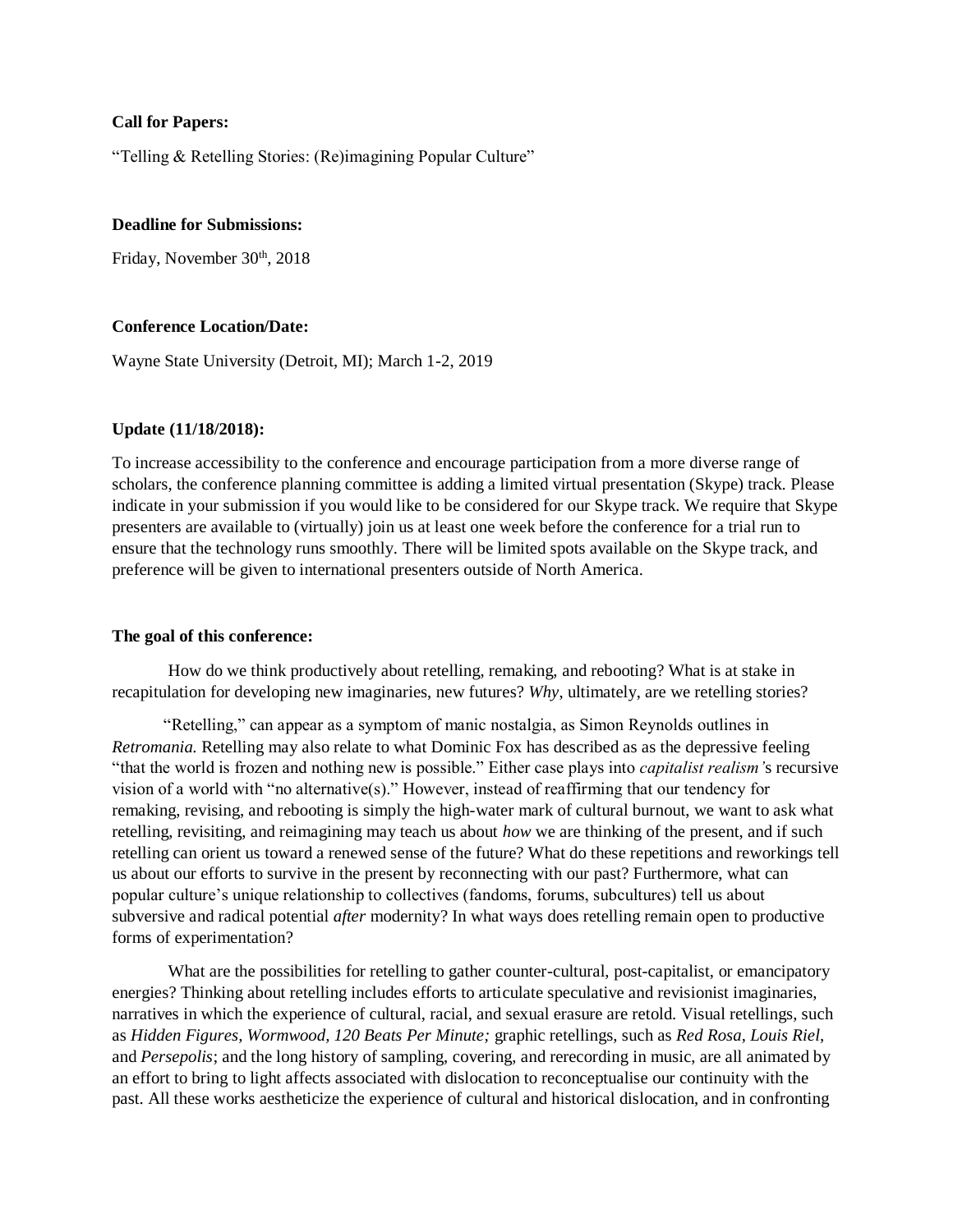### **Call for Papers:**

"Telling & Retelling Stories: (Re)imagining Popular Culture"

## **Deadline for Submissions:**

Friday, November 30<sup>th</sup>, 2018

#### **Conference Location/Date:**

Wayne State University (Detroit, MI); March 1-2, 2019

### **Update (11/18/2018):**

To increase accessibility to the conference and encourage participation from a more diverse range of scholars, the conference planning committee is adding a limited virtual presentation (Skype) track. Please indicate in your submission if you would like to be considered for our Skype track. We require that Skype presenters are available to (virtually) join us at least one week before the conference for a trial run to ensure that the technology runs smoothly. There will be limited spots available on the Skype track, and preference will be given to international presenters outside of North America.

#### **The goal of this conference:**

How do we think productively about retelling, remaking, and rebooting? What is at stake in recapitulation for developing new imaginaries, new futures? *Why*, ultimately, are we retelling stories?

 "Retelling," can appear as a symptom of manic nostalgia, as Simon Reynolds outlines in *Retromania.* Retelling may also relate to what Dominic Fox has described as as the depressive feeling "that the world is frozen and nothing new is possible." Either case plays into *capitalist realism'*s recursive vision of a world with "no alternative(s)." However, instead of reaffirming that our tendency for remaking, revising, and rebooting is simply the high-water mark of cultural burnout, we want to ask what retelling, revisiting, and reimagining may teach us about *how* we are thinking of the present, and if such retelling can orient us toward a renewed sense of the future? What do these repetitions and reworkings tell us about our efforts to survive in the present by reconnecting with our past? Furthermore, what can popular culture's unique relationship to collectives (fandoms, forums, subcultures) tell us about subversive and radical potential *after* modernity? In what ways does retelling remain open to productive forms of experimentation?

What are the possibilities for retelling to gather counter-cultural, post-capitalist, or emancipatory energies? Thinking about retelling includes efforts to articulate speculative and revisionist imaginaries, narratives in which the experience of cultural, racial, and sexual erasure are retold. Visual retellings, such as *Hidden Figures, Wormwood, 120 Beats Per Minute;* graphic retellings, such as *Red Rosa*, *Louis Riel*, and *Persepolis*; and the long history of sampling, covering, and rerecording in music, are all animated by an effort to bring to light affects associated with dislocation to reconceptualise our continuity with the past. All these works aestheticize the experience of cultural and historical dislocation, and in confronting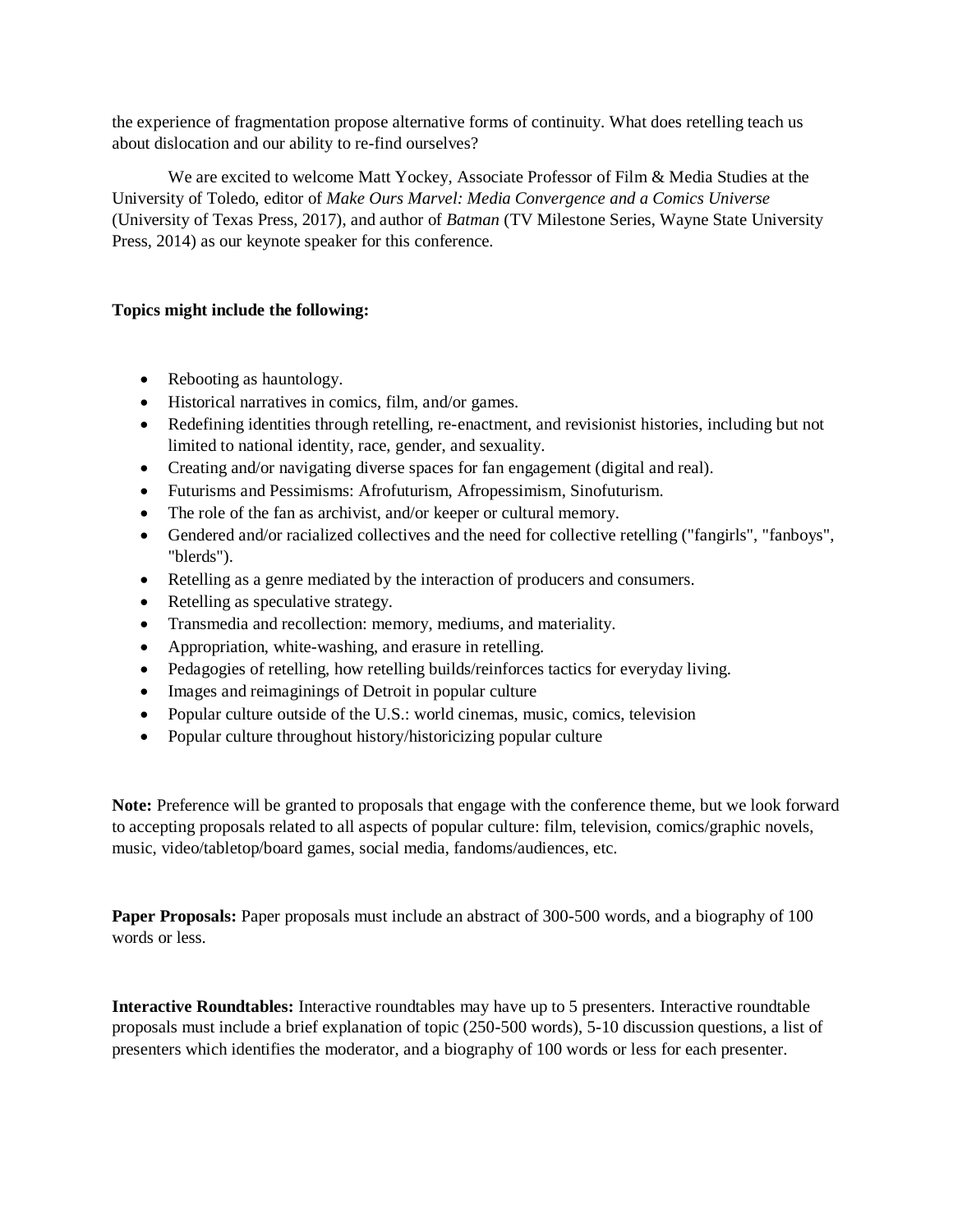the experience of fragmentation propose alternative forms of continuity. What does retelling teach us about dislocation and our ability to re-find ourselves?

We are excited to welcome Matt Yockey, Associate Professor of Film & Media Studies at the University of Toledo, editor of *Make Ours Marvel: Media Convergence and a Comics Universe*  (University of Texas Press, 2017), and author of *Batman* (TV Milestone Series, Wayne State University Press, 2014) as our keynote speaker for this conference.

# **Topics might include the following:**

- Rebooting as hauntology.
- Historical narratives in comics, film, and/or games.
- Redefining identities through retelling, re-enactment, and revisionist histories, including but not limited to national identity, race, gender, and sexuality.
- Creating and/or navigating diverse spaces for fan engagement (digital and real).
- Futurisms and Pessimisms: Afrofuturism, Afropessimism, Sinofuturism.
- The role of the fan as archivist, and/or keeper or cultural memory.
- Gendered and/or racialized collectives and the need for collective retelling ("fangirls", "fanboys", "blerds").
- Retelling as a genre mediated by the interaction of producers and consumers.
- Retelling as speculative strategy.
- Transmedia and recollection: memory, mediums, and materiality.
- Appropriation, white-washing, and erasure in retelling.
- Pedagogies of retelling, how retelling builds/reinforces tactics for everyday living.
- Images and reimaginings of Detroit in popular culture
- Popular culture outside of the U.S.: world cinemas, music, comics, television
- Popular culture throughout history/historicizing popular culture

**Note:** Preference will be granted to proposals that engage with the conference theme, but we look forward to accepting proposals related to all aspects of popular culture: film, television, comics/graphic novels, music, video/tabletop/board games, social media, fandoms/audiences, etc.

**Paper Proposals:** Paper proposals must include an abstract of 300-500 words, and a biography of 100 words or less.

**Interactive Roundtables:** Interactive roundtables may have up to 5 presenters. Interactive roundtable proposals must include a brief explanation of topic (250-500 words), 5-10 discussion questions, a list of presenters which identifies the moderator, and a biography of 100 words or less for each presenter.